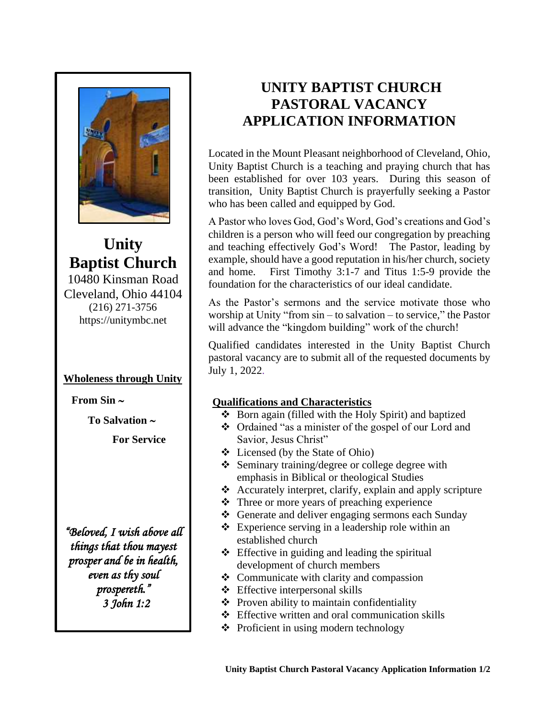

**Unity Baptist Church** 10480 Kinsman Road Cleveland, Ohio 44104 (216) 271-3756 [https://unitymbc.net](https://unitymbc.net/)

## **Wholeness through Unity**

 **From Sin** 

 **To Salvation**

 **For Service**

*"Beloved, I wish above all things that thou mayest prosper and be in health, even as thy soul prospereth." 3 John 1:2* 

# **UNITY BAPTIST CHURCH PASTORAL VACANCY APPLICATION INFORMATION**

Located in the Mount Pleasant neighborhood of Cleveland, Ohio, Unity Baptist Church is a teaching and praying church that has been established for over 103 years. During this season of transition, Unity Baptist Church is prayerfully seeking a Pastor who has been called and equipped by God.

A Pastor who loves God, God's Word, God's creations and God's children is a person who will feed our congregation by preaching and teaching effectively God's Word! The Pastor, leading by example, should have a good reputation in his/her church, society and home. First Timothy 3:1-7 and Titus 1:5-9 provide the foundation for the characteristics of our ideal candidate.

As the Pastor's sermons and the service motivate those who worship at Unity "from sin – to salvation – to service," the Pastor will advance the "kingdom building" work of the church!

Qualified candidates interested in the Unity Baptist Church pastoral vacancy are to submit all of the requested documents by July 1, 2022.

# **Qualifications and Characteristics**

- ❖ Born again (filled with the Holy Spirit) and baptized
- ❖ Ordained "as a minister of the gospel of our Lord and Savior, Jesus Christ"
- ❖ Licensed (by the State of Ohio)
- ❖ Seminary training/degree or college degree with emphasis in Biblical or theological Studies
- ❖ Accurately interpret, clarify, explain and apply scripture
- ❖ Three or more years of preaching experience
- ❖ Generate and deliver engaging sermons each Sunday
- ❖ Experience serving in a leadership role within an established church
- $\triangle$  Effective in guiding and leading the spiritual development of church members
- ❖ Communicate with clarity and compassion
- ❖ Effective interpersonal skills
- ❖ Proven ability to maintain confidentiality
- ❖ Effective written and oral communication skills
- ❖ Proficient in using modern technology